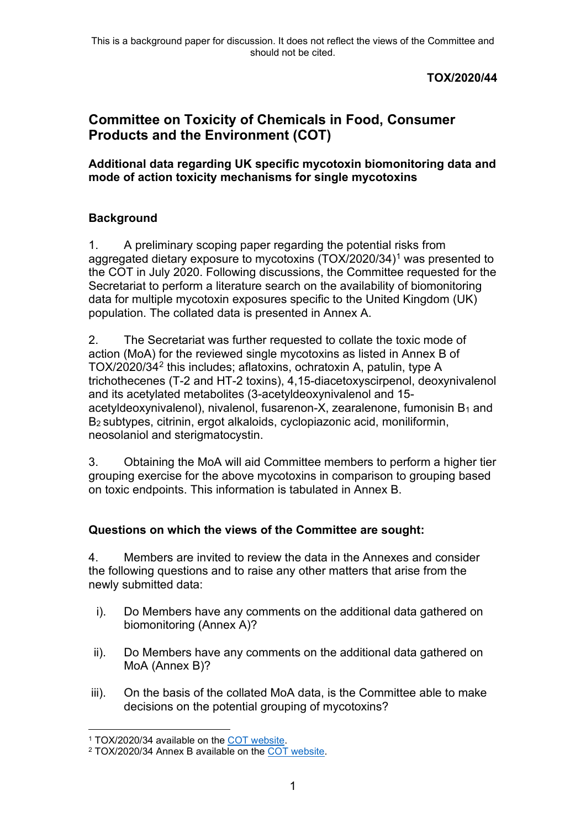## **TOX/2020/44**

## **Committee on Toxicity of Chemicals in Food, Consumer Products and the Environment (COT)**

**Additional data regarding UK specific mycotoxin biomonitoring data and mode of action toxicity mechanisms for single mycotoxins**

## **Background**

1. A preliminary scoping paper regarding the potential risks from aggregated dietary exposure to mycotoxins (TOX/2020/34)<sup>[1](#page-0-0)</sup> was presented to the COT in July 2020. Following discussions, the Committee requested for the Secretariat to perform a literature search on the availability of biomonitoring data for multiple mycotoxin exposures specific to the United Kingdom (UK) population. The collated data is presented in Annex A.

2. The Secretariat was further requested to collate the toxic mode of action (MoA) for the reviewed single mycotoxins as listed in Annex B of TOX/2020/34[2](#page-0-1) this includes; aflatoxins, ochratoxin A, patulin, type A trichothecenes (T-2 and HT-2 toxins), 4,15-diacetoxyscirpenol, deoxynivalenol and its acetylated metabolites (3-acetyldeoxynivalenol and 15 acetyldeoxynivalenol), nivalenol, fusarenon-X, zearalenone, fumonisin  $B_1$  and B2 subtypes, citrinin, ergot alkaloids, cyclopiazonic acid, moniliformin, neosolaniol and sterigmatocystin.

3. Obtaining the MoA will aid Committee members to perform a higher tier grouping exercise for the above mycotoxins in comparison to grouping based on toxic endpoints. This information is tabulated in Annex B.

## **Questions on which the views of the Committee are sought:**

4. Members are invited to review the data in the Annexes and consider the following questions and to raise any other matters that arise from the newly submitted data:

- i). Do Members have any comments on the additional data gathered on biomonitoring (Annex A)?
- ii). Do Members have any comments on the additional data gathered on MoA (Annex B)?
- iii). On the basis of the collated MoA data, is the Committee able to make decisions on the potential grouping of mycotoxins?

<sup>1</sup> TOX/2020/34 available on the [COT website.](https://cot.food.gov.uk/sites/default/files/tox202034aggregateexposureofmycotoxins.pdf)

<span id="page-0-1"></span><span id="page-0-0"></span><sup>2</sup> TOX/2020/34 Annex B available on the [COT website.](https://cot.food.gov.uk/sites/default/files/tox2002034bnnexboverviewofindividual.pdf)